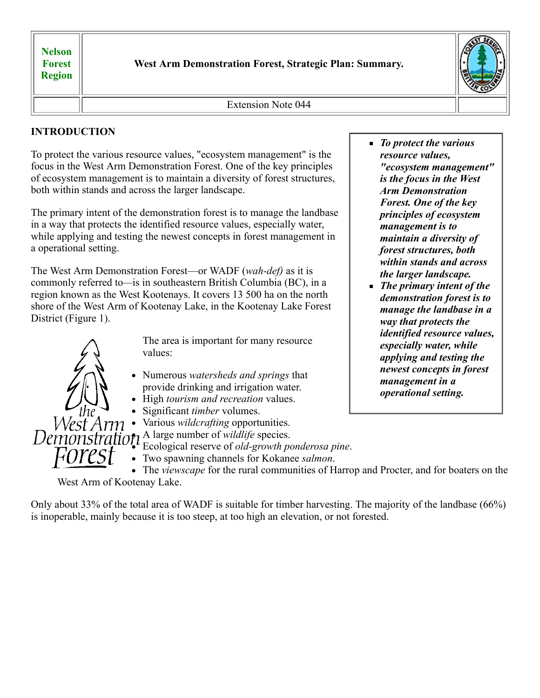**Nelson Forest Region**

**West Arm Demonstration Forest, Strategic Plan: Summary.**



Extension Note 044

# **INTRODUCTION**

To protect the various resource values, "ecosystem management" is the focus in the West Arm Demonstration Forest. One of the key principles of ecosystem management is to maintain a diversity of forest structures, both within stands and across the larger landscape.

The primary intent of the demonstration forest is to manage the landbase in a way that protects the identified resource values, especially water, while applying and testing the newest concepts in forest management in a operational setting.

The West Arm Demonstration Forest—or WADF (*wah-def)* as it is commonly referred to*—*is in southeastern British Columbia (BC), in a region known as the West Kootenays. It covers 13 500 ha on the north shore of the West Arm of Kootenay Lake, in the Kootenay Lake Forest District (Figure 1).



The area is important for many resource values:

- Numerous *watersheds and springs* that provide drinking and irrigation water.
- High *tourism and recreation* values.
- Significant *timber* volumes.
- Various *wildcrafting* opportunities.

A large number of *wildlife* species.

Ecological reserve of *old-growth ponderosa pine*.

Two spawning channels for Kokanee *salmon*.

The *viewscape* for the rural communities of Harrop and Procter, and for boaters on the West Arm of Kootenay Lake.

Only about 33% of the total area of WADF is suitable for timber harvesting. The majority of the landbase (66%) is inoperable, mainly because it is too steep, at too high an elevation, or not forested.

- *To protect the various resource values, "ecosystem management" is the focus in the West Arm Demonstration Forest. One of the key principles of ecosystem management is to maintain a diversity of forest structures, both within stands and across the larger landscape.*
- *The primary intent of the demonstration forest is to manage the landbase in a way that protects the identified resource values, especially water, while applying and testing the newest concepts in forest management in a operational setting.*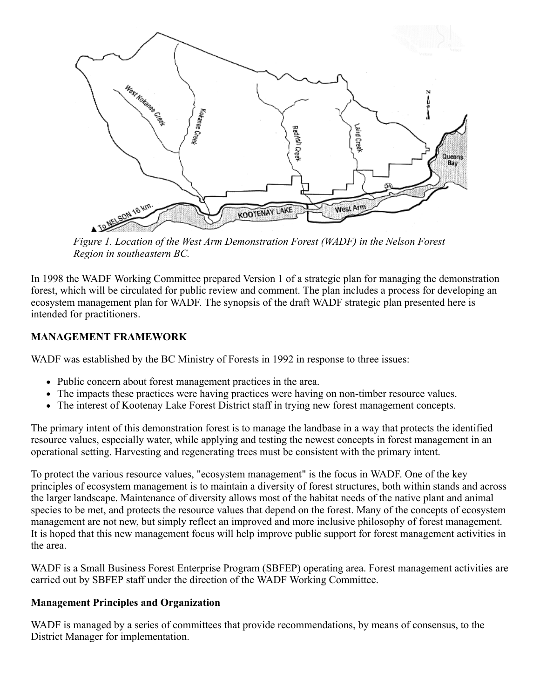

*Figure 1. Location of the West Arm Demonstration Forest (WADF) in the Nelson Forest Region in southeastern BC.*

In 1998 the WADF Working Committee prepared Version 1 of a strategic plan for managing the demonstration forest, which will be circulated for public review and comment. The plan includes a process for developing an ecosystem management plan for WADF. The synopsis of the draft WADF strategic plan presented here is intended for practitioners.

## **MANAGEMENT FRAMEWORK**

WADF was established by the BC Ministry of Forests in 1992 in response to three issues:

- Public concern about forest management practices in the area.
- The impacts these practices were having practices were having on non-timber resource values.
- The interest of Kootenay Lake Forest District staff in trying new forest management concepts.

The primary intent of this demonstration forest is to manage the landbase in a way that protects the identified resource values, especially water, while applying and testing the newest concepts in forest management in an operational setting. Harvesting and regenerating trees must be consistent with the primary intent.

To protect the various resource values, "ecosystem management" is the focus in WADF. One of the key principles of ecosystem management is to maintain a diversity of forest structures, both within stands and across the larger landscape. Maintenance of diversity allows most of the habitat needs of the native plant and animal species to be met, and protects the resource values that depend on the forest. Many of the concepts of ecosystem management are not new, but simply reflect an improved and more inclusive philosophy of forest management. It is hoped that this new management focus will help improve public support for forest management activities in the area.

WADF is a Small Business Forest Enterprise Program (SBFEP) operating area. Forest management activities are carried out by SBFEP staff under the direction of the WADF Working Committee.

## **Management Principles and Organization**

WADF is managed by a series of committees that provide recommendations, by means of consensus, to the District Manager for implementation.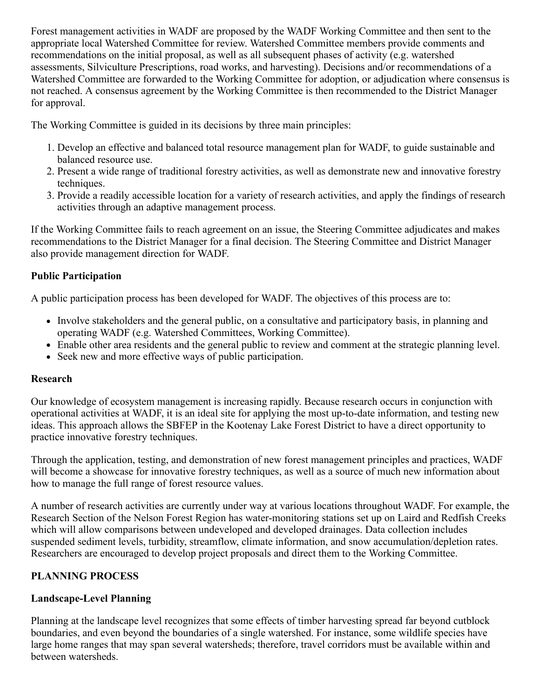Forest management activities in WADF are proposed by the WADF Working Committee and then sent to the appropriate local Watershed Committee for review. Watershed Committee members provide comments and recommendations on the initial proposal, as well as all subsequent phases of activity (e.g. watershed assessments, Silviculture Prescriptions, road works, and harvesting). Decisions and/or recommendations of a Watershed Committee are forwarded to the Working Committee for adoption, or adjudication where consensus is not reached. A consensus agreement by the Working Committee is then recommended to the District Manager for approval.

The Working Committee is guided in its decisions by three main principles:

- 1. Develop an effective and balanced total resource management plan for WADF, to guide sustainable and balanced resource use.
- 2. Present a wide range of traditional forestry activities, as well as demonstrate new and innovative forestry techniques.
- 3. Provide a readily accessible location for a variety of research activities, and apply the findings of research activities through an adaptive management process.

If the Working Committee fails to reach agreement on an issue, the Steering Committee adjudicates and makes recommendations to the District Manager for a final decision. The Steering Committee and District Manager also provide management direction for WADF.

## **Public Participation**

A public participation process has been developed for WADF. The objectives of this process are to:

- Involve stakeholders and the general public, on a consultative and participatory basis, in planning and operating WADF (e.g. Watershed Committees, Working Committee).
- Enable other area residents and the general public to review and comment at the strategic planning level.
- Seek new and more effective ways of public participation.

#### **Research**

Our knowledge of ecosystem management is increasing rapidly. Because research occurs in conjunction with operational activities at WADF, it is an ideal site for applying the most up-to-date information, and testing new ideas. This approach allows the SBFEP in the Kootenay Lake Forest District to have a direct opportunity to practice innovative forestry techniques.

Through the application, testing, and demonstration of new forest management principles and practices, WADF will become a showcase for innovative forestry techniques, as well as a source of much new information about how to manage the full range of forest resource values.

A number of research activities are currently under way at various locations throughout WADF. For example, the Research Section of the Nelson Forest Region has water-monitoring stations set up on Laird and Redfish Creeks which will allow comparisons between undeveloped and developed drainages. Data collection includes suspended sediment levels, turbidity, streamflow, climate information, and snow accumulation/depletion rates. Researchers are encouraged to develop project proposals and direct them to the Working Committee.

## **PLANNING PROCESS**

## **Landscape-Level Planning**

Planning at the landscape level recognizes that some effects of timber harvesting spread far beyond cutblock boundaries, and even beyond the boundaries of a single watershed. For instance, some wildlife species have large home ranges that may span several watersheds; therefore, travel corridors must be available within and between watersheds.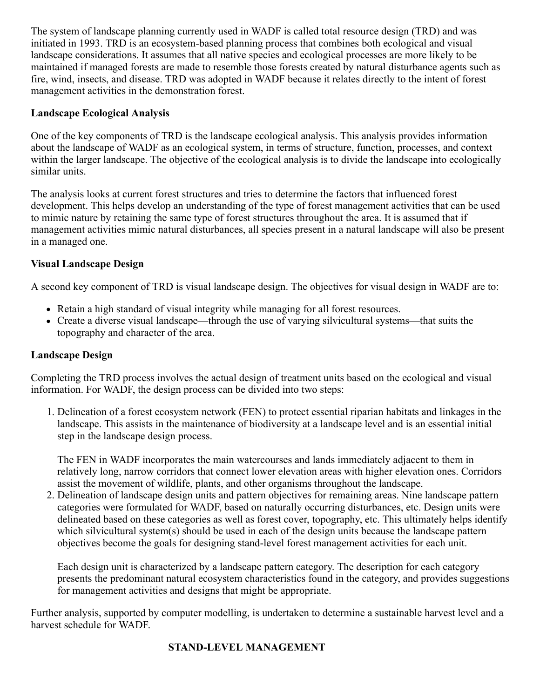The system of landscape planning currently used in WADF is called total resource design (TRD) and was initiated in 1993. TRD is an ecosystem-based planning process that combines both ecological and visual landscape considerations. It assumes that all native species and ecological processes are more likely to be maintained if managed forests are made to resemble those forests created by natural disturbance agents such as fire, wind, insects, and disease. TRD was adopted in WADF because it relates directly to the intent of forest management activities in the demonstration forest.

## **Landscape Ecological Analysis**

One of the key components of TRD is the landscape ecological analysis. This analysis provides information about the landscape of WADF as an ecological system, in terms of structure, function, processes, and context within the larger landscape. The objective of the ecological analysis is to divide the landscape into ecologically similar units.

The analysis looks at current forest structures and tries to determine the factors that influenced forest development. This helps develop an understanding of the type of forest management activities that can be used to mimic nature by retaining the same type of forest structures throughout the area. It is assumed that if management activities mimic natural disturbances, all species present in a natural landscape will also be present in a managed one.

## **Visual Landscape Design**

A second key component of TRD is visual landscape design. The objectives for visual design in WADF are to:

- Retain a high standard of visual integrity while managing for all forest resources.
- Create a diverse visual landscape—through the use of varying silvicultural systems—that suits the topography and character of the area.

## **Landscape Design**

Completing the TRD process involves the actual design of treatment units based on the ecological and visual information. For WADF, the design process can be divided into two steps:

1. Delineation of a forest ecosystem network (FEN) to protect essential riparian habitats and linkages in the landscape. This assists in the maintenance of biodiversity at a landscape level and is an essential initial step in the landscape design process.

The FEN in WADF incorporates the main watercourses and lands immediately adjacent to them in relatively long, narrow corridors that connect lower elevation areas with higher elevation ones. Corridors assist the movement of wildlife, plants, and other organisms throughout the landscape.

2. Delineation of landscape design units and pattern objectives for remaining areas. Nine landscape pattern categories were formulated for WADF, based on naturally occurring disturbances, etc. Design units were delineated based on these categories as well as forest cover, topography, etc. This ultimately helps identify which silvicultural system(s) should be used in each of the design units because the landscape pattern objectives become the goals for designing stand-level forest management activities for each unit.

Each design unit is characterized by a landscape pattern category. The description for each category presents the predominant natural ecosystem characteristics found in the category, and provides suggestions for management activities and designs that might be appropriate.

Further analysis, supported by computer modelling, is undertaken to determine a sustainable harvest level and a harvest schedule for WADF.

## **STAND-LEVEL MANAGEMENT**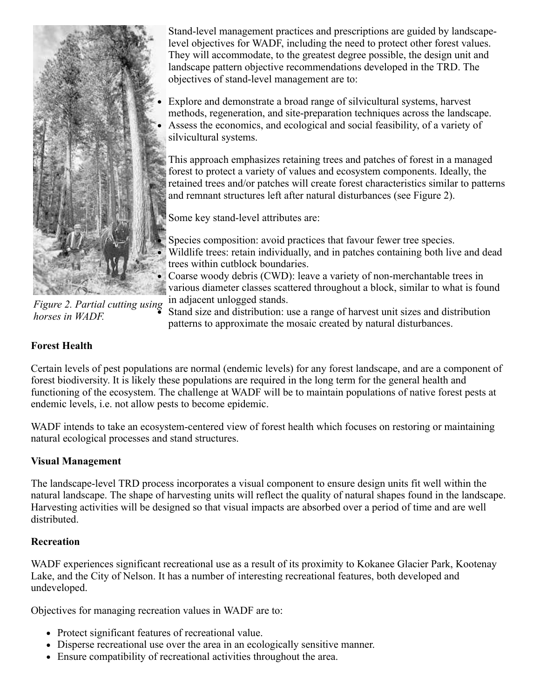

Stand-level management practices and prescriptions are guided by landscapelevel objectives for WADF, including the need to protect other forest values. They will accommodate, to the greatest degree possible, the design unit and landscape pattern objective recommendations developed in the TRD. The objectives of stand-level management are to:

Explore and demonstrate a broad range of silvicultural systems, harvest methods, regeneration, and site-preparation techniques across the landscape. Assess the economics, and ecological and social feasibility, of a variety of silvicultural systems.

This approach emphasizes retaining trees and patches of forest in a managed forest to protect a variety of values and ecosystem components. Ideally, the retained trees and/or patches will create forest characteristics similar to patterns and remnant structures left after natural disturbances (see Figure 2).

Some key stand-level attributes are:

Species composition: avoid practices that favour fewer tree species. Wildlife trees: retain individually, and in patches containing both live and dead trees within cutblock boundaries.

Coarse woody debris (CWD): leave a variety of non-merchantable trees in various diameter classes scattered throughout a block, similar to what is found in adjacent unlogged stands.

*Figure 2. Partial cutting using horses in WADF.*

Stand size and distribution: use a range of harvest unit sizes and distribution patterns to approximate the mosaic created by natural disturbances.

## **Forest Health**

Certain levels of pest populations are normal (endemic levels) for any forest landscape, and are a component of forest biodiversity. It is likely these populations are required in the long term for the general health and functioning of the ecosystem. The challenge at WADF will be to maintain populations of native forest pests at endemic levels, i.e. not allow pests to become epidemic.

WADF intends to take an ecosystem-centered view of forest health which focuses on restoring or maintaining natural ecological processes and stand structures.

## **Visual Management**

The landscape-level TRD process incorporates a visual component to ensure design units fit well within the natural landscape. The shape of harvesting units will reflect the quality of natural shapes found in the landscape. Harvesting activities will be designed so that visual impacts are absorbed over a period of time and are well distributed.

## **Recreation**

WADF experiences significant recreational use as a result of its proximity to Kokanee Glacier Park, Kootenay Lake, and the City of Nelson. It has a number of interesting recreational features, both developed and undeveloped.

Objectives for managing recreation values in WADF are to:

- Protect significant features of recreational value.
- Disperse recreational use over the area in an ecologically sensitive manner.
- Ensure compatibility of recreational activities throughout the area.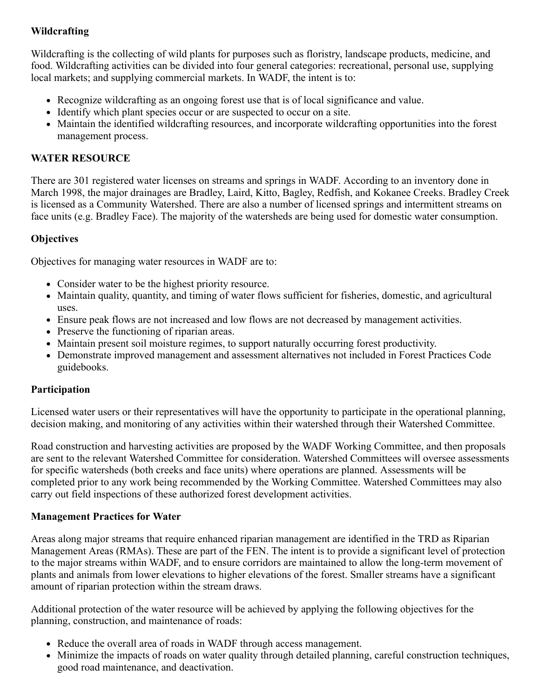## **Wildcrafting**

Wildcrafting is the collecting of wild plants for purposes such as floristry, landscape products, medicine, and food. Wildcrafting activities can be divided into four general categories: recreational, personal use, supplying local markets; and supplying commercial markets. In WADF, the intent is to:

- Recognize wildcrafting as an ongoing forest use that is of local significance and value.
- Identify which plant species occur or are suspected to occur on a site.
- Maintain the identified wildcrafting resources, and incorporate wildcrafting opportunities into the forest management process.

### **WATER RESOURCE**

There are 301 registered water licenses on streams and springs in WADF. According to an inventory done in March 1998, the major drainages are Bradley, Laird, Kitto, Bagley, Redfish, and Kokanee Creeks. Bradley Creek is licensed as a Community Watershed. There are also a number of licensed springs and intermittent streams on face units (e.g. Bradley Face). The majority of the watersheds are being used for domestic water consumption.

### **Objectives**

Objectives for managing water resources in WADF are to:

- Consider water to be the highest priority resource.
- Maintain quality, quantity, and timing of water flows sufficient for fisheries, domestic, and agricultural uses.
- Ensure peak flows are not increased and low flows are not decreased by management activities.
- Preserve the functioning of riparian areas.
- Maintain present soil moisture regimes, to support naturally occurring forest productivity.
- Demonstrate improved management and assessment alternatives not included in Forest Practices Code guidebooks.

#### **Participation**

Licensed water users or their representatives will have the opportunity to participate in the operational planning, decision making, and monitoring of any activities within their watershed through their Watershed Committee.

Road construction and harvesting activities are proposed by the WADF Working Committee, and then proposals are sent to the relevant Watershed Committee for consideration. Watershed Committees will oversee assessments for specific watersheds (both creeks and face units) where operations are planned. Assessments will be completed prior to any work being recommended by the Working Committee. Watershed Committees may also carry out field inspections of these authorized forest development activities.

#### **Management Practices for Water**

Areas along major streams that require enhanced riparian management are identified in the TRD as Riparian Management Areas (RMAs). These are part of the FEN. The intent is to provide a significant level of protection to the major streams within WADF, and to ensure corridors are maintained to allow the long-term movement of plants and animals from lower elevations to higher elevations of the forest. Smaller streams have a significant amount of riparian protection within the stream draws.

Additional protection of the water resource will be achieved by applying the following objectives for the planning, construction, and maintenance of roads:

- Reduce the overall area of roads in WADF through access management.
- Minimize the impacts of roads on water quality through detailed planning, careful construction techniques, good road maintenance, and deactivation.